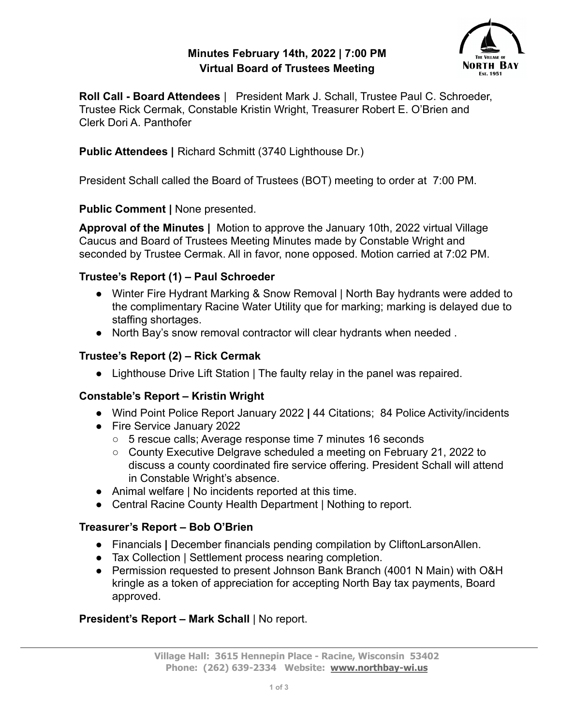### **Minutes February 14th, 2022 | 7:00 PM Virtual Board of Trustees Meeting**



**Roll Call - Board Attendees** | President Mark J. Schall, Trustee Paul C. Schroeder, Trustee Rick Cermak, Constable Kristin Wright, Treasurer Robert E. O'Brien and Clerk Dori A. Panthofer

**Public Attendees |** Richard Schmitt (3740 Lighthouse Dr.)

President Schall called the Board of Trustees (BOT) meeting to order at 7:00 PM.

**Public Comment |** None presented.

**Approval of the Minutes |** Motion to approve the January 10th, 2022 virtual Village Caucus and Board of Trustees Meeting Minutes made by Constable Wright and seconded by Trustee Cermak. All in favor, none opposed. Motion carried at 7:02 PM.

# **Trustee's Report (1) – Paul Schroeder**

- Winter Fire Hydrant Marking & Snow Removal | North Bay hydrants were added to the complimentary Racine Water Utility que for marking; marking is delayed due to staffing shortages.
- North Bay's snow removal contractor will clear hydrants when needed .

### **Trustee's Report (2) – Rick Cermak**

● Lighthouse Drive Lift Station | The faulty relay in the panel was repaired.

# **Constable's Report – Kristin Wright**

- **●** Wind Point Police Report January 2022 **|** 44 Citations; 84 Police Activity/incidents
- **●** Fire Service January 2022
	- **○** 5 rescue calls; Average response time 7 minutes 16 seconds
	- **○** County Executive Delgrave scheduled a meeting on February 21, 2022 to discuss a county coordinated fire service offering. President Schall will attend in Constable Wright's absence.
- **●** Animal welfare | No incidents reported at this time.
- Central Racine County Health Department | Nothing to report.

# **Treasurer's Report – Bob O'Brien**

- **●** Financials **|** December financials pending compilation by CliftonLarsonAllen.
- Tax Collection | Settlement process nearing completion.
- Permission requested to present Johnson Bank Branch (4001 N Main) with O&H kringle as a token of appreciation for accepting North Bay tax payments, Board approved.

# **President's Report – Mark Schall** | No report.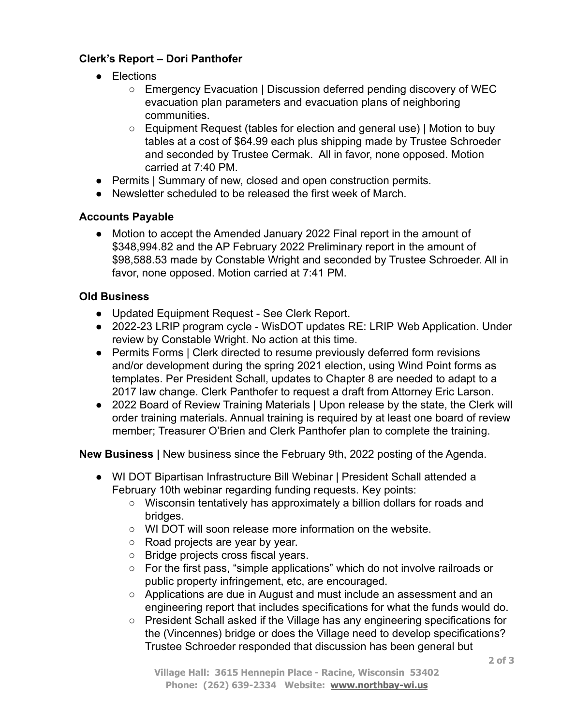#### **Clerk's Report – Dori Panthofer**

- Elections
	- Emergency Evacuation | Discussion deferred pending discovery of WEC evacuation plan parameters and evacuation plans of neighboring communities.
	- Equipment Request (tables for election and general use) | Motion to buy tables at a cost of \$64.99 each plus shipping made by Trustee Schroeder and seconded by Trustee Cermak. All in favor, none opposed. Motion carried at 7:40 PM.
- Permits | Summary of new, closed and open construction permits.
- Newsletter scheduled to be released the first week of March.

#### **Accounts Payable**

● Motion to accept the Amended January 2022 Final report in the amount of \$348,994.82 and the AP February 2022 Preliminary report in the amount of \$98,588.53 made by Constable Wright and seconded by Trustee Schroeder. All in favor, none opposed. Motion carried at 7:41 PM.

#### **Old Business**

- Updated Equipment Request See Clerk Report.
- **●** 2022-23 LRIP program cycle WisDOT updates RE: LRIP Web Application. Under review by Constable Wright. No action at this time.
- Permits Forms | Clerk directed to resume previously deferred form revisions and/or development during the spring 2021 election, using Wind Point forms as templates. Per President Schall, updates to Chapter 8 are needed to adapt to a 2017 law change. Clerk Panthofer to request a draft from Attorney Eric Larson.
- 2022 Board of Review Training Materials | Upon release by the state, the Clerk will order training materials. Annual training is required by at least one board of review member; Treasurer O'Brien and Clerk Panthofer plan to complete the training.

**New Business |** New business since the February 9th, 2022 posting of the Agenda.

- **●** WI DOT Bipartisan Infrastructure Bill Webinar | President Schall attended a February 10th webinar regarding funding requests. Key points:
	- **○** Wisconsin tentatively has approximately a billion dollars for roads and bridges.
	- WI DOT will soon release more information on the website.
	- **○** Road projects are year by year.
	- **○** Bridge projects cross fiscal years.
	- **○** For the first pass, "simple applications" which do not involve railroads or public property infringement, etc, are encouraged.
	- **○** Applications are due in August and must include an assessment and an engineering report that includes specifications for what the funds would do.
	- President Schall asked if the Village has any engineering specifications for the (Vincennes) bridge or does the Village need to develop specifications? Trustee Schroeder responded that discussion has been general but